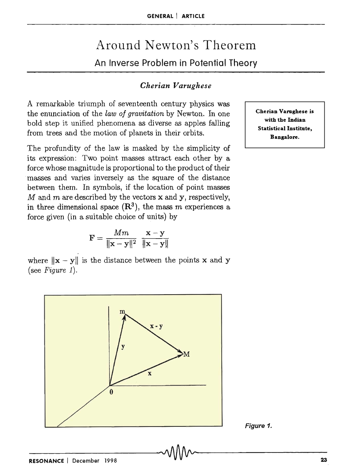$$
\mathbf{F} = \frac{Mm}{\|\mathbf{x} - \mathbf{y}\|^2} \frac{\mathbf{x} - \mathbf{y}}{\|\mathbf{x} - \mathbf{y}\|}
$$

A remarkable triumph of seventeenth century physics was the enunciation of the *law of gravitation* by Newton. In one bold step it unified phenomena as diverse as apples falling

The profundity of the law is masked by the simplicity of its expression: Two point masses attract each other by a force whose magnitude is proportional to the product of their masses and varies inversely as the square of the distance between them. In symbols, if the location of point masses  $M$  and  $m$  are described by the vectors  $x$  and  $y$ , respectively, in three dimensional space  $(\mathbb{R}^3)$ , the mass m experiences a

from trees and the motion of planets in their orbits.

where  $\|\mathbf{x} - \mathbf{y}\|$  is the distance between the points x and y (see *Figure 1).* 



Cherian Varughese is with the Indian Statistical Institute, Bangalore.

Figure 1.

#### GENERAL | ARTICLE

# Around Newton's Theorem An Inverse Problem in Potential Theory

# *Cherian Varughese*

# exponding to the compact of the compact of the compact of the compact of the compact of the compact of the compact of the compact of the compact of the compact of the compact of the compact of the compact of the compact of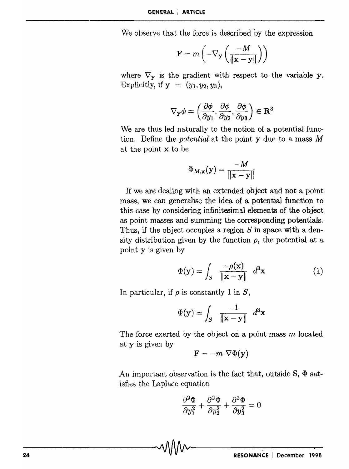We observe that the force is described by the expression

$$
\mathbf{F} = m\left(-\nabla_{\mathbf{y}}\left(\frac{-M}{\|\mathbf{x}-\mathbf{y}\|}\right)\right)
$$

where  $\nabla_{\mathbf{v}}$  is the gradient with respect to the variable y. Explicitly, if  $y = (y_1, y_2, y_3)$ ,

$$
\nabla_{\mathbf{y}}\phi=\left(\frac{\partial\phi}{\partial y_1},\frac{\partial\phi}{\partial y_2},\frac{\partial\phi}{\partial y_3}\right)\in\mathbf{R}^3
$$

We are thus led naturally to the notion of a potential function. Define the *potential* at the point y due to a mass *M*  at the point x to be

$$
\Phi_{M,\mathbf{x}}(\mathbf{y}) = \frac{-M}{\|\mathbf{x} - \mathbf{y}\|}
$$

If we are dealing with an extended object and not a point mass, we can generalise the idea of a potential function to this case by considering infinitesimal elements of the object as point masses and summing the corresponding potentials. Thus, if the object occupies a region *S* in space with a density distribution given by the function  $\rho$ , the potential at a point y is given by

$$
\Phi(\mathbf{y}) = \int_{S} \frac{-\rho(\mathbf{x})}{\|\mathbf{x} - \mathbf{y}\|} d^3 \mathbf{x}
$$
 (1)

In particular, if  $\rho$  is constantly 1 in  $S$ ,

$$
\Phi(\mathbf{y}) = \int_{S} \frac{-1}{\|\mathbf{x} - \mathbf{y}\|} d^3 \mathbf{x}
$$

The force exerted by the object on a point mass  $m$  located at y is given by

$$
\mathbf{F}=-m \ \nabla \Phi(\mathbf{y})
$$

An important observation is the fact that, outside  $S$ ,  $\Phi$  satisfies the Laplace equation

$$
\frac{\partial^2 \Phi}{\partial y_1^2} + \frac{\partial^2 \Phi}{\partial y_2^2} + \frac{\partial^2 \Phi}{\partial y_3^2} = 0
$$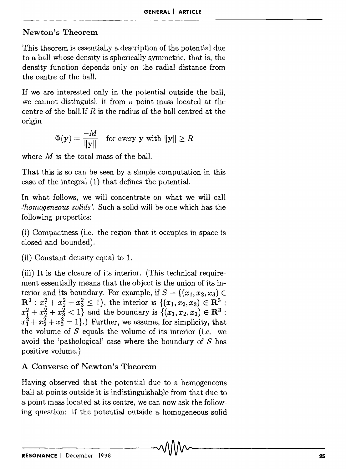#### Newton's Theorem

This theorem is essentially a description of the potential due to a ball whose density is spherically symmetric, that is, the density function depends only on the radial distance from the centre of the ball.

If we are interested only in the potential outside the ball, we cannot distinguish it from a. point mass located at the centre of the ball.If *R* is the radius of the ball centred at the origin

$$
\Phi(\mathbf{y}) = \frac{-M}{\|\mathbf{y}\|} \quad \text{for every } \mathbf{y} \text{ with } \|\mathbf{y}\| \ge R
$$

where *M* is the total mass of the ball.

That this is so can be seen by a sirnple computation in this case of the integral (1) that defines the potential.

In what follows, we will concentrate on what we will call *.{homogeneous solids* '. Such a solid will be one which has the following properties:

 $(i)$  Compactness (i.e. the region that it occupies in space is closed and bounded).

(ii) Constant density equal to 1.

(iii) It is the closure of its interior. (This technical requirement essentially means that the object is the union of its interior and its boundary. For example, if  $S = \{(x_1, x_2, x_3) \in$  $\mathbb{R}^3$  :  $x_1^2 + x_2^2 + x_3^2 \le 1$ , the interior is  $\{(x_1, x_2, x_3) \in \mathbb{R}^3$ :  $x_1^2 + x_2^2 + x_3^2 < 1$  and the boundary is  $\{(x_1, x_2, x_3) \in \mathbb{R}^3 :$  $x_1^2 + x_2^2 + x_3^2 = 1$ .) Further, we assume, for simplicity, that the volume of  $S$  equals the volume of its interior (i.e. we avoid the 'pathological' case where the boundary of *S* has positive volume.)

# A Converse of Newton's Theorem

Having observed that the potential due to a homogeneous ball at points outside it is indistinguishable from that due to a. point mass located at its centre) we can now ask the following question: If the potential outside a homogeneous solid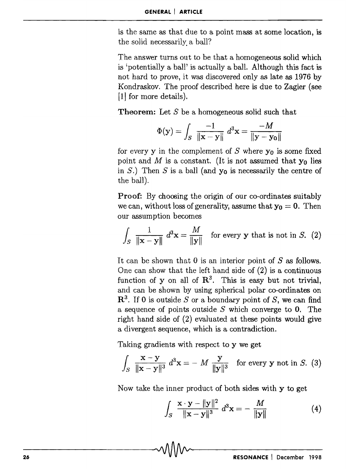is the same as that due to a point mass at some location, is the solid necessarily. a ball?

The answer turns out to be that a homogeneous solid which is 'potentially a ball' is actually a ball. Although this fact is not hard to prove, it was discovered only as late as 1976 by Kondraskov. The proof described here is due to Zagier (see [1] for more details).

Theorem: Let *S* be a homogeneous solid such that

$$
\Phi(\mathbf{y}) = \int_{S} \frac{-1}{\|\mathbf{x} - \mathbf{y}\|} d^3 \mathbf{x} = \frac{-M}{\|\mathbf{y} - \mathbf{y}_0\|}
$$

for every y in the complement of  $S$  where  $y_0$  is some fixed point and M is a constant. (It is not assumed that  $y_0$  lies in S.) Then S is a ball (and  $y_0$  is necessarily the centre of the ball).

Proof: By choosing the origin of our co-ordinates suitably we can, without loss of generality, assume that  $y_0 = 0$ . Then our assumption becomes

$$
\int_{S} \frac{1}{\|\mathbf{x} - \mathbf{y}\|} d^3 \mathbf{x} = \frac{M}{\|\mathbf{y}\|} \text{ for every } \mathbf{y} \text{ that is not in } S. (2)
$$

It can be shown that 0 is an interior point of *S* as follows. One can show that the left hand side of (2) is a continuous function of y on all of  $\mathbb{R}^3$ . This is easy but not trivial, and can be shown by using spherical polar co-ordinates on  $\mathbb{R}^3$ . If 0 is outside *S* or a boundary point of *S*, we can find a sequence of points outside *S* which converge to O. The right hand side of (2) evaluated at these points would give a divergent sequence, which is a contradiction.

Taking gradients with respect to y we get

$$
\int_{S} \frac{\mathbf{x} - \mathbf{y}}{\|\mathbf{x} - \mathbf{y}\|^3} d^3 \mathbf{x} = -M \frac{\mathbf{y}}{\|\mathbf{y}\|^3} \text{ for every } \mathbf{y} \text{ not in } S. (3)
$$

Now take the inner product of both sides with y to get

$$
\int_{S} \frac{\mathbf{x} \cdot \mathbf{y} - ||\mathbf{y}||^{2}}{||\mathbf{x} - \mathbf{y}||^{3}} d^{3} \mathbf{x} = -\frac{M}{||\mathbf{y}||}
$$
(4)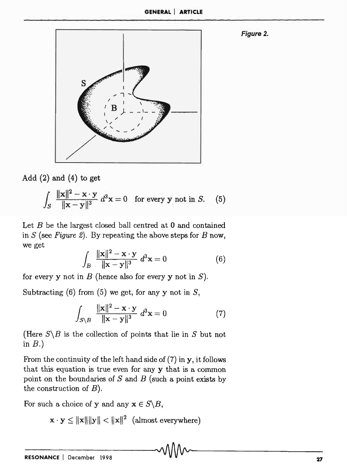**GENERAL I ARTICLE** 

**Figure 2.** 



Add  $(2)$  and  $(4)$  to get

$$
\int_{S} \frac{\|\mathbf{x}\|^{2} - \mathbf{x} \cdot \mathbf{y}}{\|\mathbf{x} - \mathbf{y}\|^{3}} d^{3}\mathbf{x} = 0 \quad \text{for every } \mathbf{y} \text{ not in } S. \quad (5)
$$

Let  $B$  be the largest closed ball centred at  $0$  and contained in *S* (see *Figure* 2). By repeating the above steps for *B* now, we get

$$
\int_{B} \frac{\|\mathbf{x}\|^{2} - \mathbf{x} \cdot \mathbf{y}}{\|\mathbf{x} - \mathbf{y}\|^{3}} d^{3}\mathbf{x} = 0
$$
\n(6)

for every y not in *B* (hence also for every y not in *S).* 

Subtracting (6) from (5) we get, for any y not in  $S$ ,

$$
\int_{S\setminus B} \frac{\|\mathbf{x}\|^2 - \mathbf{x} \cdot \mathbf{y}}{\|\mathbf{x} - \mathbf{y}\|^3} d^3 \mathbf{x} = 0
$$
\n(7)

(Here  $S \backslash B$  is the collection of points that lie in S but not in  $B.$ )

From the continuity of the left hand side of  $(7)$  in  $y$ , it follows that this equation is true even for any y that is a common point on the boundaries of  $S$  and  $B$  (such a point exists by the construction of B).

For such a choice of y and any  $x \in S \backslash B$ ,

$$
\mathbf{x}\cdot\mathbf{y}\leq\|\mathbf{x}\|\|\mathbf{y}\|<\|\mathbf{x}\|^2\ \ (\text{almost everywhere})
$$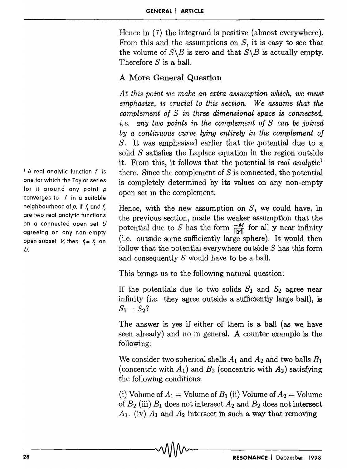Hence in (7) the integrand is positive (almost everywhere). From this and the assumptions on S, it is *easy* to see that the volume of  $S \backslash B$  is zero and that  $S \backslash B$  is actually empty. Therefore *S* is a ball.

# A More General Question

*A* t *this point we make an extra assumption which, we must emphasize, is crucial to this section. We assume that the complement of S in three dimensional space* is *connected,*  i. e. *any two points in the complement of S can be joined by a continuous curve lying entirely in the complement of S.* It was emphasised earlier that the .potential due to a solid *S* satisfies the Laplace equation in the region outside it. Frorn this, it follows that the potential is *real analytic*<sup>l</sup> there. Since the complement of *S* is connected, the potential is completely determined by its values on any non-empty open set in the complement.

Hence, with the new assumption on  $S$ , we could have, in the previous section, made the weaker assumption that the potential due to *S* has the form  $\frac{-M}{\|V\|}$  for all **y** near infinity (i.e. outside some sufficiently large sphere). It would then follow that the potential everywhere outside *S* has this form and consequently *S* would have to be a ball.

This brings us to the following natural question:

If the potentials due to two solids  $S_1$  and  $S_2$  agree near infinity (i.e. they agree outside a sufficiently large ball), is  $S_1 = S_2?$ 

The answer is yes if either of them is a ball (as we have seen already) and no in general. A counter example is the following:

We consider two spherical shells  $A_1$  and  $A_2$  and two balls  $B_1$ (concentric with  $A_1$ ) and  $B_2$  (concentric with  $A_2$ ) satisfying the following conditions:

(i) Volume of  $A_1 =$  Volume of  $B_1$  (ii) Volume of  $A_2 =$  Volume of  $B_2$  (iii)  $B_1$  does not intersect  $A_2$  and  $B_2$  does not intersect  $A_1$ . (iv)  $A_1$  and  $A_2$  intersect in such a way that removing

 $<sup>1</sup>$  A real analytic function f is</sup> one for which the Taylor series for it around any point *p*  converges to  $f$  in a suitable neighbourhood of p. If f, and f<sub>2</sub> are two real analytic functions on a connected open set *U*  agreeing on any non-empty open subset V, then  $f_1 = f_2$  on U.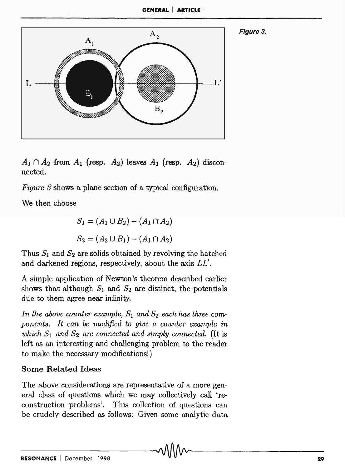

 $A_1 \cap A_2$  from  $A_1$  (resp.  $A_2$ ) leaves  $A_1$  (resp.  $A_2$ ) disconnected.

*Figure 3* shows a plane section of a typical configuration.

We then choose

$$
S_1 = (A_1 \cup B_2) - (A_1 \cap A_2)
$$
  

$$
S_2 = (A_2 \cup B_1) - (A_1 \cap A_2)
$$

Thus  $S_1$  and  $S_2$  are solids obtained by revolving the hatched and darkened regions, respectively, about the axis *LL'.* 

A simple application of Newton's theorem described earlier shows that although  $S_1$  and  $S_2$  are distinct, the potentials due to them agree near infinity.

In the above counter example,  $S_1$  and  $S_2$  each has three com*ponents. It can* be *modified to give a counter example* in *which*  $S_1$  *and*  $S_2$  *are connected and simply connected.* (It is left as an interesting and challenging problem to the reader to make the necessary modifications!)

# Some Related Ideas

The above considerations are representative of a more general class of questions which we may collectively call 'reconstruction problems'. This collection of questions can be crudely described as follows: Given some analytic data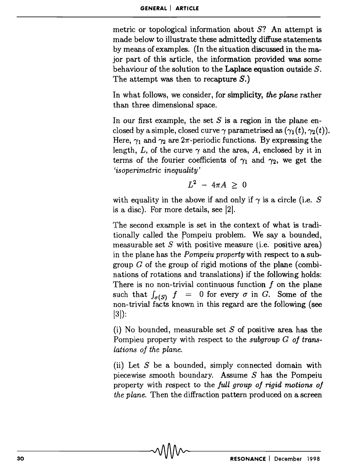metric or topological information about  $S$ ? An attempt is made below to illustrate these admittedly diffuse statements by means of examples. (In the situation discussed in the major part of this article, the information provided was some behaviour of the solution to the Laplace equation outside  $S$ . The attempt was then to recapture  $S$ .)

In what follows, we consider, for simplicity, *the plane* rather than three dimensional space.

In our first example, the set  $S$  is a region in the plane enclosed by a simple, closed curve  $\gamma$  parametrised as  $(\gamma_1(t), \gamma_2(t))$ . Here,  $\gamma_1$  and  $\gamma_2$  are  $2\pi$ -periodic functions. By expressing the length, L, of the curve  $\gamma$  and the area, A, enclosed by it in terms of the fourier coefficients of  $\gamma_1$  and  $\gamma_2$ , we get the *'isoperimetric inequality'* 

$$
L^2 - 4\pi A \geq 0
$$

with equality in the above if and only if  $\gamma$  is a circle (i.e. S is a disc). For more details, see [2].

The second example is set in the context of what is traditionally called the pompeiu problem. We say a bounded, measurable set S with positive measure (i.e. positive area) in the plane has the *Pompeiu property* with respect to a subgroup  $G$  of the group of rigid motions of the plane (combinations of rotations and translations) if the following holds: There is no non-trivial continuous function  $f$  on the plane such that  $f_{\sigma(S)}$   $f = 0$  for every  $\sigma$  in G. Some of the non-trivial facts known in this regard are the following (see [3]):

(i) No bounded, measurable set  $S$  of positive area has the Pompieu property with respect to the *subgroup G* of trans*lations of the plane.* 

(ii) Let  $S$  be a bounded, simply connected domain with piecewise smooth boundary. Assume  $S$  has the Pompeiu property with respect to the *full group of rigid motions of the plane.* Then the diffraction pattern produced on a screen

 $\sim$